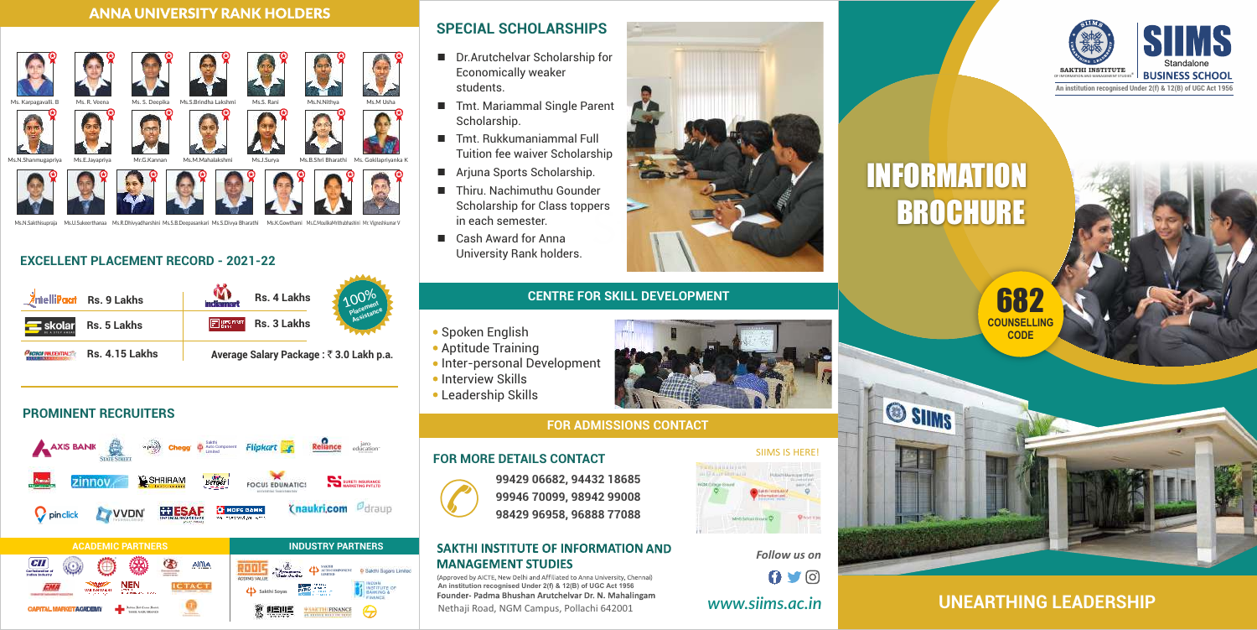

*Follow us on*  $0.9$ 

### **FOR ADMISSIONS CONTACT**

*www.siims.ac.in* 

SIIMS IS HERE!

(Approved by AICTE, New Delhi and Affiliated to Anna University, Chennai) **An institution recognised Under 2(f) & 12(B) of UGC Act 1956**  Founder- Padma Bhushan Arutchelvar Dr. N. Mahalingam Nethaji Road, NGM Campus, Pollachi 642001

- Aptitude Training
- Inter-personal Development
- Interview Skills
- Leadership Skills





### **CENTRE FOR SKILL DEVELOPMENT**

### **• Spoken English**

**Average Salary Package :** ` **3.0 Lakh p.a.**



### **EXCELLENT PLACEMENT RECORD - 2021-22**

### **PROMINENT RECRUITERS**



- Dr.Arutchelvar Scholarship for Economically weaker students.
- Tmt. Mariammal Single Parent Scholarship.
- $\blacksquare$  Tmt. Rukkumaniammal Full Tuition fee waiver Scholarship
- Arjuna Sports Scholarship.
- $\blacksquare$  Thiru. Nachimuthu Gounder Scholarship for Class toppers in each semester.
- $\Box$  Cash Award for Anna University Rank holders.

# **INFORMATION** BROCHURE



### **ANNA UNIVERSITY RANK HOLDERS**



### **SPECIAL SCHOLARSHIPS**

**99429 06682, 94432 18685 99946 70099, 98942 99008 98429 96958, 96888 77088**

### **SAKTHI INSTITUTE OF INFORMATION AND MANAGEMENT STUDIES**

### **FOR MORE DETAILS CONTACT**

 $\odot$ 

## **UNEARTHING LEADERSHIP**







®



**An institution recognised Under 2(f) & 12(B) of UGC Act 1956**